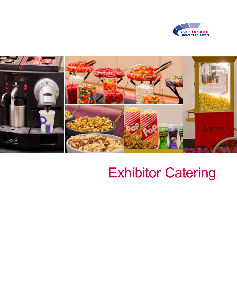



# Exhibitor Catering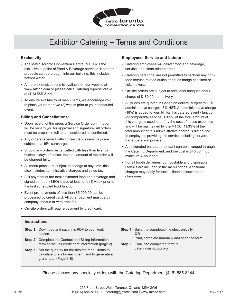

## Exhibitor Catering – Terms and Conditions

#### **Exclusivity:**

- The Metro Toronto Convention Centre (MTCC) is the exclusive supplier of Food & Beverage services. No other products can be brought into our building, this includes bottled water.
- A more extensive menu is available on our website at www.mtccc.com or please call a Catering representative at (416) 585-8144.
- To ensure availability of menu items, we encourage you to place your order two (2) weeks prior to your scheduled event.

#### **Billing and Cancellations:**

- Upon receipt of the order, a Service Order confirmation will be sent to you for approval and signature. All orders must be prepaid in full to be considered as confirmed.
- Any orders received within three (3) business days are subject to a 15% surcharge.
- Should any orders be cancelled with less than five (5) business days of notice, the total amount of the order will be charged fully.
- All menu prices are subject to change at any time; this also includes administrative charges and sales tax.
- Full payment of the total estimated food and beverage and signed contract (BEO) is due at least one (1) week prior to the first scheduled food function.
- Event pre-payments of less than \$5,000.00 can be processed by credit card. All other payment must be by company cheque or wire transfer.

#### **Employees, Service and Labour:**

- Catering employees will deliver food and beverage, service, and clean related areas.
- Catering personnel are not permitted to perform any nonfood service related duties or act as badge checkers or ticket takers.
- On-site orders are subject to additional banquet labour charge of \$180.00 per delivery.
- All prices are quoted in Canadian dollars, subject to 18% administrative charge, 13% HST. An administrative charge (18%) is added to your bill for this catered event / function (or comparable service). 6.65% of the total amount of this charge is used to defray the cost of house expenses and will be maintained by the MTCC. 11.35% of the total amount of this administrative charge is distributed to employees providing the service including servers, bartenders and porters.
- A designated banquet attendant can be arranged through the Catering Department, and the cost is \$45.00 / hour, minimum 4-hour shift.
- For all booth deliveries, compostable and disposable utensils are included in the menu prices. Additional charges may apply for tables, linen, chinaware and glassware.

• On-site orders will require payment by credit card.

#### **Instructions:**

- **Step 1** Download and save this PDF to your work station.
- **Step 2** Complete the Contact and Billing Information form as well as credit card information (page 2)
- **Step 3** Set the quantity for the desired menu items to calculate totals for each item, and to generate a grand total (Page 3-8)
- **Step 4** Save the completed file electronically. **OR** Print, complete manually and scan the form.
- **Step 5** Email the completed form to catering@mtccc.com

Please discuss any specialty orders with the Catering Department (416) 585-8144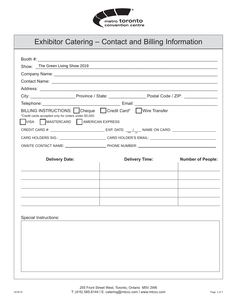

### Exhibitor Catering – Contact and Billing Information

| Show: The Green Living Show 2019                                                                                 |                                                                                                                     |                          |
|------------------------------------------------------------------------------------------------------------------|---------------------------------------------------------------------------------------------------------------------|--------------------------|
|                                                                                                                  | <u> 1989 - Johann John Stoff, deutscher Stoffen und der Stoffen und der Stoffen und der Stoffen und der Stoffen</u> |                          |
|                                                                                                                  |                                                                                                                     |                          |
|                                                                                                                  |                                                                                                                     |                          |
|                                                                                                                  |                                                                                                                     |                          |
|                                                                                                                  |                                                                                                                     |                          |
| BILLING INSTRUCTIONS: Cheque Credit Card* Wire Transfer<br>*Credit cards accepted only for orders under \$5,000. |                                                                                                                     |                          |
| VISA MASTERCARD AMERICAN EXPRESS                                                                                 |                                                                                                                     |                          |
|                                                                                                                  |                                                                                                                     |                          |
| CARD HOLDERS SIG.: ___________________________CARD HOLDER'S EMAIL: _________________________________             |                                                                                                                     |                          |
|                                                                                                                  |                                                                                                                     |                          |
| <b>Delivery Date:</b>                                                                                            | <b>Delivery Time:</b>                                                                                               | <b>Number of People:</b> |
|                                                                                                                  |                                                                                                                     |                          |
|                                                                                                                  |                                                                                                                     |                          |
|                                                                                                                  |                                                                                                                     |                          |
|                                                                                                                  |                                                                                                                     |                          |
|                                                                                                                  |                                                                                                                     |                          |
| Special Instructions:                                                                                            |                                                                                                                     |                          |
|                                                                                                                  |                                                                                                                     |                          |
|                                                                                                                  |                                                                                                                     |                          |
|                                                                                                                  |                                                                                                                     |                          |
|                                                                                                                  |                                                                                                                     |                          |
|                                                                                                                  |                                                                                                                     |                          |
|                                                                                                                  |                                                                                                                     |                          |
|                                                                                                                  |                                                                                                                     |                          |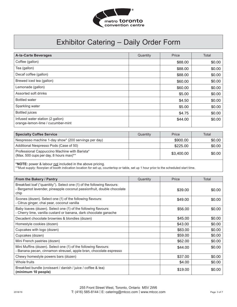

| <b>A-la-Carte Beverages</b>                                           | Quantity | Price   | Total  |
|-----------------------------------------------------------------------|----------|---------|--------|
| Coffee (gallon)                                                       |          | \$88.00 | \$0.00 |
| Tea (gallon)                                                          |          | \$88.00 | \$0.00 |
| Decaf coffee (gallon)                                                 |          | \$88.00 | \$0.00 |
| Brewed iced tea (gallon)                                              |          | \$60.00 | \$0.00 |
| Lemonade (gallon)                                                     |          | \$60.00 | \$0.00 |
| Assorted soft drinks                                                  |          | \$5.00  | \$0.00 |
| <b>Bottled water</b>                                                  |          | \$4.50  | \$0.00 |
| Sparkling water                                                       |          | \$5.00  | \$0.00 |
| <b>Bottled</b> juices                                                 |          | \$4.75  | \$0.00 |
| Infused water station (2 gallon)<br>orange-lemon-lime / cucumber-mint |          | \$44.00 | \$0.00 |

| <b>Specialty Coffee Service</b>                                                         | Quantity | Price      | Total   |
|-----------------------------------------------------------------------------------------|----------|------------|---------|
| Nespresso machine 1-day show* (200 servings per day)                                    |          | \$900.00   | $$0.00$ |
| Additional Nespresso Pods (Case of 50)                                                  |          | \$225.00   | \$0.00  |
| Professional Cappuccino Machine with Barista*<br>(Max. 500 cups per day, 8 hours max)** |          | \$3,400.00 | \$0.00  |

\***NOTE:** power & labour not included in the above pricing.

\*\*Must supply: floorplan of booth indication location for set up, countertop or table, set up 1 hour prior to the scheduled start time.

| From the Bakery / Pantry                                                                                                                                 | Quantity | Price   | Total  |
|----------------------------------------------------------------------------------------------------------------------------------------------------------|----------|---------|--------|
| Breakfast loaf ("quanitity"). Select one (1) of the following flavours:<br>- Bergamot lavender, pineapple coconut passionfruit, double chocolate<br>chip |          | \$39.00 | \$0.00 |
| Scones (dozen). Select one (1) of the following flavours:<br>- Citrus ginger, chai pear, coconut vanilla                                                 |          | \$49.00 | \$0.00 |
| Baby loaves (dozen). Select one (1) of the following flavours:<br>- Cherry lime, vanilla custard or banana, dark chocolate ganache                       |          | \$56.00 | \$0.00 |
| Decadent chocolate brownies & blondies (dozen)                                                                                                           |          | \$45.00 | \$0.00 |
| Homestyle cookies (dozen)                                                                                                                                |          | \$43.00 | \$0.00 |
| Cupcakes with logo (dozen)                                                                                                                               |          | \$83.00 | \$0.00 |
| Cupcakes (dozen)                                                                                                                                         |          | \$59.00 | \$0.00 |
| Mini French pastries (dozen)                                                                                                                             |          | \$62.00 | \$0.00 |
| Mini Muffins (dozen). Select one (1) of the following flavours:<br>Banana pecan, cinnamon streusel, apple bran, chocolate espresso                       |          | \$44.00 | \$0.00 |
| Chewy homestyle powers bars (dozen)                                                                                                                      |          | \$37.00 | \$0.00 |
| Whole fruits                                                                                                                                             |          | \$4.00  | \$0.00 |
| Breakfast bundle (croissant / danish / juice / coffee & tea)<br>(minimum 10 people)                                                                      |          | \$19.00 | \$0.00 |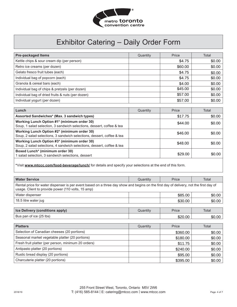

| <b>Pre-packaged Items</b>                         | Quantity | Price   | Total  |
|---------------------------------------------------|----------|---------|--------|
| Kettle chips & sour cream dip (per person)        |          | \$4.75  | \$0.00 |
| Retro ice creams (per dozen)                      |          | \$60.00 | \$0.00 |
| Gelato fresco fruit tubes (each)                  |          | \$4.75  | \$0.00 |
| Individual bag of popcorn (each)                  |          | \$4.75  | \$0.00 |
| Granola & cereal bars (each)                      |          | \$4.00  | \$0.00 |
| Individual bag of chips & pretzels (per dozen)    |          | \$45.00 | \$0.00 |
| Individual bag of dried fruits & nuts (per dozen) |          | \$57.00 | \$0.00 |
| Individual yogurt (per dozen)                     |          | \$57.00 | \$0.00 |

| Lunch                                                                                                                 | Quantity | Price   | Total  |
|-----------------------------------------------------------------------------------------------------------------------|----------|---------|--------|
| Assorted Sandwiches* (Max. 3 sandwich types)                                                                          |          | \$17.75 | \$0.00 |
| Working Lunch Option #1* (minimum order 30)<br>Soup, 1 salad selection, 3 sandwich selections, dessert, coffee & tea  |          | \$44.00 | \$0.00 |
| Working Lunch Option #2* (minimum order 30)<br>Soup, 2 salad selections, 3 sandwich selections, dessert, coffee & tea |          | \$46.00 | \$0.00 |
| Working Lunch Option #3* (minimum order 30)<br>Soup, 2 salad selections, 4 sandwich selections, dessert, coffee & tea |          | \$48.00 | \$0.00 |
| Boxed Lunch* (minimum order 30)<br>1 salad selection, 3 sandwich selections, dessert                                  |          | \$29.00 | \$0.00 |

**\***Visit **www.mtccc.com/food-beverage/lunch/** for details and specify your selections at the end of this form.

| <b>Water Service</b>                                                                                                                                                                        | Quantity | Price    | Total  |
|---------------------------------------------------------------------------------------------------------------------------------------------------------------------------------------------|----------|----------|--------|
| Rental price for water dispenser is per event based on a three day show and begins on the first day of delivery, not the first day of<br>usage. Client to provide power (110 volts, 15 amp) |          |          |        |
| Water dispenser                                                                                                                                                                             |          | \$85.00  | \$0.00 |
| 18.5 litre water jug                                                                                                                                                                        |          | \$30.00  | \$0.00 |
|                                                                                                                                                                                             |          |          |        |
| Ice Delivery (conditions apply)                                                                                                                                                             | Quantity | Price    | Total  |
| Bus pan of ice (25 lbs)                                                                                                                                                                     |          | \$20.00  | \$0.00 |
|                                                                                                                                                                                             |          |          |        |
| <b>Platters</b>                                                                                                                                                                             | Quantity | Price    | Total  |
| Selection of Canadian cheeses (20 portions)                                                                                                                                                 |          | \$360.00 | \$0.00 |

| Selection of Canadian cheeses (20 portions)         | \$360.00 | \$0.00 |
|-----------------------------------------------------|----------|--------|
| Seasonal market vegetable platter (20 portions)     | \$180.00 | \$0.00 |
| Fresh fruit platter (per person, minimum 20 orders) | \$11.75  | \$0.00 |
| Antipasto platter (20 portions)                     | \$240.00 | \$0.00 |
| Rustic bread display (20 portions)                  | \$95.00  | \$0.00 |
| Charcuterie platter (20 portions)                   | \$395.00 | \$0.00 |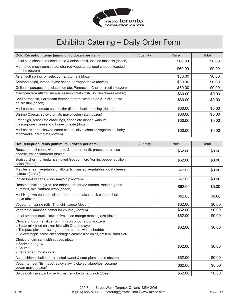

| Cold Reception Items (minimum 3 dozen per item)                                                                                                                                                                                                         | Quantity | Price   | Total  |
|---------------------------------------------------------------------------------------------------------------------------------------------------------------------------------------------------------------------------------------------------------|----------|---------|--------|
| Local blue cheese, roasted apple & onion confit, toasted focaccia (dozen)                                                                                                                                                                               |          | \$60.00 | \$0.00 |
| Marinated mushroom salad, charred vegetables, goat cheese, toasted<br>brioche (dozen)                                                                                                                                                                   |          | \$60.00 | \$0.00 |
| Asian soft spring roll selection & futomaki (dozen)                                                                                                                                                                                                     |          | \$60.00 | \$0.00 |
| Seafood salad, lemon thyme scone, tarragon mayo (dozen)                                                                                                                                                                                                 |          | \$60.00 | \$0.00 |
| Grilled asparagus, prosciutto, tomato, Parmesan, Caesar crostini (dozen)                                                                                                                                                                                |          | \$60.00 | \$0.00 |
| Mini open face Atlantic smoked salmon potato rösti, Boursin cheese (dozen)                                                                                                                                                                              |          | \$60.00 | \$0.00 |
| Beef carpaccio, Parmesan feather, caramelized onion & truffle paste<br>on crostini (dozen)                                                                                                                                                              |          | \$60.00 | \$0.00 |
| Mini capresse tomato salads, fior di latte, basil dressing (dozen)                                                                                                                                                                                      |          | \$60.00 | \$0.00 |
| Shrimp Caesar, spicy clamato mayo, celery salt (dozen)                                                                                                                                                                                                  |          | \$60.00 | \$0.00 |
| Fresh figs, prosciutto cracklings, chocolate dipped walnuts,<br>mascarpone cheese and honey drizzle (dozen)                                                                                                                                             |          | \$60.00 | \$0.00 |
| Mini charcuterie skewer, cured salami, olive, charred vegetables, baby<br>mozzarella, gremolata (dozen)                                                                                                                                                 |          | \$60.00 | \$0.00 |
| Hot Reception Items (minimum 3 dozen per item)                                                                                                                                                                                                          | Quantity | Price   | Total  |
| Roasted mushroom, vine tomato & pepper confit, prosciutto, fresco<br>cheese, Italian flatbread (dozen)                                                                                                                                                  |          | \$62.00 | \$0.00 |
| Braised short rib, leeks & smoked Gouda micro Yorkie, pepper scallion<br>salsa (dozen)                                                                                                                                                                  |          | \$62.00 | \$0.00 |
| Mediterranean vegetable phyllo tarts, roasted vegetables, goat cheese,<br>spinach (dozen)                                                                                                                                                               |          | \$62.00 | \$0.00 |
| Indian beef kebabs, curry mayo dip (dozen)                                                                                                                                                                                                              |          | \$62.00 | \$0.00 |
| Roasted chicken gyros, red onions, preserved tomato, roasted garlic<br>hummus, mini flatbrad wrap (dozen)                                                                                                                                               |          | \$62.00 | \$0.00 |
| Mini Hogtown peameal slider, red pepper salsa, Jack cheese, herb<br>mayo (dozen)                                                                                                                                                                        |          | \$62.00 | \$0.00 |
| Vegetarian spring rolls, Thai chili sauce (dozen)                                                                                                                                                                                                       |          | \$62.00 | \$0.00 |
| Vegetable samosas, tamarind chutney (dozen)                                                                                                                                                                                                             |          | \$62.00 | \$0.00 |
| Local smoked duck skewer, five spice orange maple glaze (dozen)                                                                                                                                                                                         |          | \$62.00 | \$0.00 |
| Choice of gourmet slider on mini soft brioche bun (dozen):<br>» Buttermilk fried chicken bite with Creole mayo<br>» Tempura pickerel, tarragon tartar sauce, white cheddar<br>» Spiced maple bacon cheeseburger, caramelized onios, grain mustard aioli |          | \$62.00 | \$0.00 |
| Choice of dim sum with sauces (dozen):<br>» Shrimp har gow<br>» Shumai<br>» Vegetarian Pot stickers                                                                                                                                                     |          | \$62.00 | \$0.00 |
| Asian chicken ball pops, roasted sweet & sour plum sauce (dozen)                                                                                                                                                                                        |          | \$62.00 | \$0.00 |
| Vegan tempeh 'fish taco', spicy slaw, pickeled jalapeños, sesame<br>vegan mayo (dozen)                                                                                                                                                                  |          | \$62.00 | \$0.00 |
| Spicy crab cake panko herb crust, smoke tomato aioli (dozen)                                                                                                                                                                                            |          | \$62.00 | \$0.00 |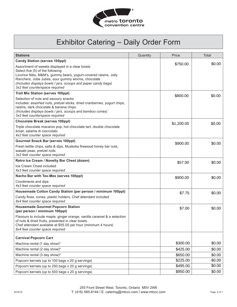

| <b>Stations</b>                                                                                                                                                                                                                                                                                                  | Quantity | Price      | Total  |
|------------------------------------------------------------------------------------------------------------------------------------------------------------------------------------------------------------------------------------------------------------------------------------------------------------------|----------|------------|--------|
| <b>Candy Station (serves 100ppl)</b>                                                                                                                                                                                                                                                                             |          |            |        |
| Assortment of sweets displayed in a clear bowls<br>Select five (5) of the following:<br>Licorice Nibs, M&M's, gummy bears, yogurt-covered raisins, Jolly<br>Ranchers, Jube Jubes, sour gummy worms, chocolate<br>(Includes displays bowls / jars, scoops and paper candy bags)<br>3x2 feet counterspace required |          | \$750.00   | \$0.00 |
| <b>Trail Mix Station (serves 100ppl)</b>                                                                                                                                                                                                                                                                         |          | \$800.00   | \$0.00 |
| Selection of nuts and savoury snacks<br>Includes: assorted nuts, pretzel sticks, dried cranberries, yogurt chips,<br>raisins, dark chocolate & banana chips<br>(Includes displays bowls / jars, scoops and bamboo cones)<br>3x2 feet counterspace required                                                       |          |            |        |
| <b>Chocolate Break (serves 100ppl)</b>                                                                                                                                                                                                                                                                           |          | \$1,200.00 | \$0.00 |
| Triple chocolate macaron pop, hot chocolate tart, double chocolate<br>éclair, salame di cioccolato<br>4x2 feet counter space required                                                                                                                                                                            |          |            |        |
| <b>Gourmet Snack Bar (serves 100ppl)</b>                                                                                                                                                                                                                                                                         |          | \$900.00   | \$0.00 |
| Fresh kettle chips, salts & dips, Muskoka firewood honey bar nuts,<br>wasabi peas, pretzel rods<br>3x2 feet counter space required                                                                                                                                                                               |          |            |        |
| Retro Ice Cream / Novelty Bar Chest (dozen)                                                                                                                                                                                                                                                                      |          | \$57.00    | \$0.00 |
| Ice Cream Chest included<br>4x3 feet counter space required                                                                                                                                                                                                                                                      |          |            |        |
| Nacho Bar with Tex-Mex (serves 100ppl)                                                                                                                                                                                                                                                                           |          | \$900.00   | \$0.00 |
| Condiments and dips<br>4x3 feet counter space required                                                                                                                                                                                                                                                           |          |            |        |
| Housemade Cotton Candy Station (per person / minimum 100ppl)                                                                                                                                                                                                                                                     |          | \$7.75     | \$0.00 |
| Candy floss, cones, plastic holders, Chef attendant included<br>8x4 feet counter space required                                                                                                                                                                                                                  |          |            |        |
| <b>Housemade Gourmet Popcorn Station</b><br>(per person / minimum 100ppl)                                                                                                                                                                                                                                        |          | \$7.00     | \$0.00 |
| Flavours to include maple, ginger orange, vanilla caramel & a selection<br>of nuts & dried fruits, presented in clear bowls.<br>Chef attendant available at \$55.00 per hour (minimum 4 hours)<br>8x4 feet counter space required                                                                                |          |            |        |
| <b>Carnival Popcorn Cart</b>                                                                                                                                                                                                                                                                                     |          |            |        |
| Machine rental (1 day show)*                                                                                                                                                                                                                                                                                     |          | \$300.00   | \$0.00 |
| Machine rental (2 day show)*                                                                                                                                                                                                                                                                                     |          | \$425.00   | \$0.00 |
| Machine rental (3 day show)*                                                                                                                                                                                                                                                                                     |          | \$650.00   | \$0.00 |
| Popcorn kernels (up to 100 bags x 20 g servings)                                                                                                                                                                                                                                                                 |          | \$225.00   | \$0.00 |
| Popcorn kernels (up to 250 bags x 20 g servings)                                                                                                                                                                                                                                                                 |          | \$495.00   | \$0.00 |
| Popcorn kernels (up to 500 bags x 20 g servings)                                                                                                                                                                                                                                                                 |          | \$950.00   | \$0.00 |